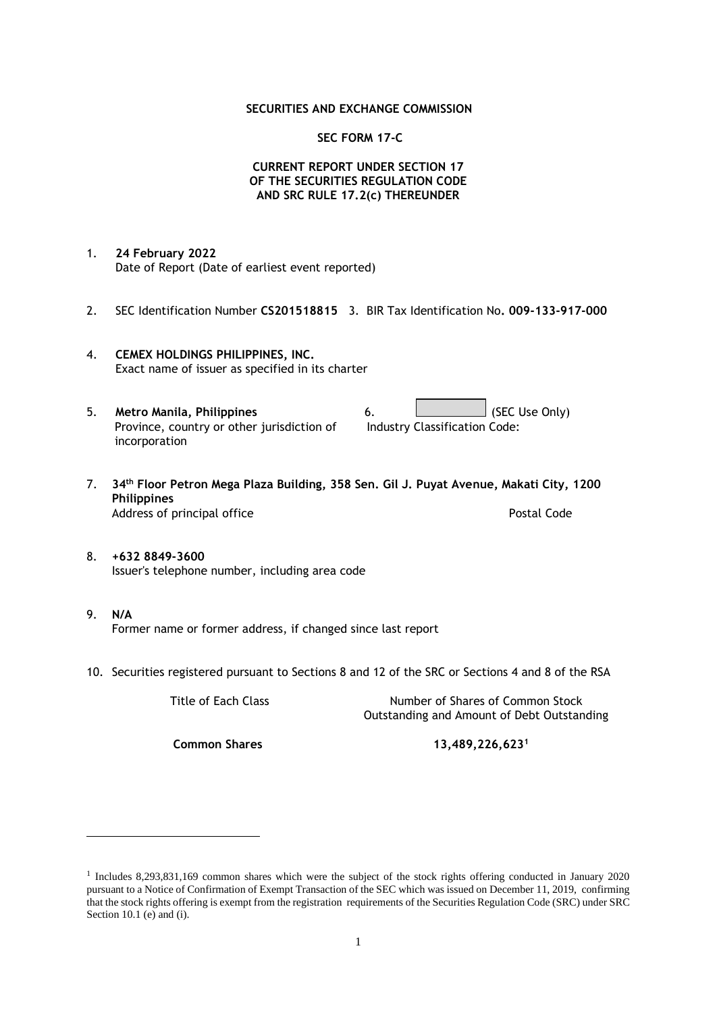### **SECURITIES AND EXCHANGE COMMISSION**

### **SEC FORM 17-C**

## **CURRENT REPORT UNDER SECTION 17 OF THE SECURITIES REGULATION CODE AND SRC RULE 17.2(c) THEREUNDER**

- 1. **24 February 2022** Date of Report (Date of earliest event reported)
- 2. SEC Identification Number **CS201518815** 3. BIR Tax Identification No**. 009-133-917-000**
- 4. **CEMEX HOLDINGS PHILIPPINES, INC.** Exact name of issuer as specified in its charter
- 5. **Metro Manila, Philippines** 6. **Consumers 6.** (SEC Use Only) Province, country or other jurisdiction of incorporation Industry Classification Code:
- 7. **34th Floor Petron Mega Plaza Building, 358 Sen. Gil J. Puyat Avenue, Makati City, 1200 Philippines** Address of principal office **Postal Code** Postal Code
- 8. **+632 8849-3600** Issuer's telephone number, including area code
- 9. **N/A** Former name or former address, if changed since last report
- 10. Securities registered pursuant to Sections 8 and 12 of the SRC or Sections 4 and 8 of the RSA

Title of Each Class Number of Shares of Common Stock Outstanding and Amount of Debt Outstanding

**Common Shares 13,489,226,623<sup>1</sup>**

<sup>1</sup> Includes 8,293,831,169 common shares which were the subject of the stock rights offering conducted in January 2020 pursuant to a Notice of Confirmation of Exempt Transaction of the SEC which was issued on December 11, 2019, confirming that the stock rights offering is exempt from the registration requirements of the Securities Regulation Code (SRC) under SRC Section 10.1 (e) and (i).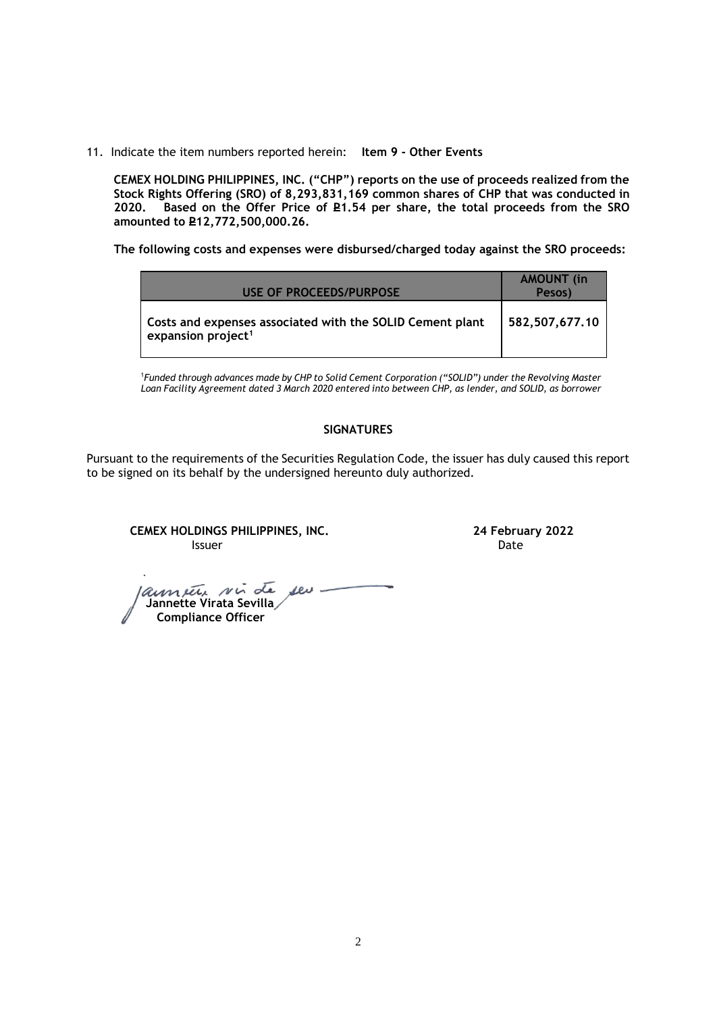11. Indicate the item numbers reported herein: **Item 9 - Other Events**

**CEMEX HOLDING PHILIPPINES, INC. ("CHP") reports on the use of proceeds realized from the Stock Rights Offering (SRO) of 8,293,831,169 common shares of CHP that was conducted in**  Based on the Offer Price of £1.54 per share, the total proceeds from the SRO **amounted to P12,772,500,000.26.** 

**The following costs and expenses were disbursed/charged today against the SRO proceeds:**

| USE OF PROCEEDS/PURPOSE                                                                     | <b>AMOUNT</b> (in<br>Pesos) |
|---------------------------------------------------------------------------------------------|-----------------------------|
| Costs and expenses associated with the SOLID Cement plant<br>expansion project <sup>1</sup> | 582,507,677.10              |

<sup>1</sup>*Funded through advances made by CHP to Solid Cement Corporation ("SOLID") under the Revolving Master Loan Facility Agreement dated 3 March 2020 entered into between CHP, as lender, and SOLID, as borrower*

## **SIGNATURES**

Pursuant to the requirements of the Securities Regulation Code, the issuer has duly caused this report to be signed on its behalf by the undersigned hereunto duly authorized.

**CEMEX HOLDINGS PHILIPPINES, INC. 24 February 2022 Issuer Date of the Community of the Community Community Community Community Community Community Community Community** 

annate sui de seu- **Jannette Virata Sevilla Compliance Officer**